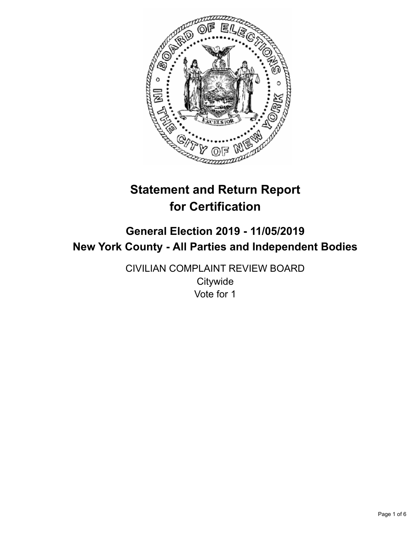

# **Statement and Return Report for Certification**

# **General Election 2019 - 11/05/2019 New York County - All Parties and Independent Bodies**

CIVILIAN COMPLAINT REVIEW BOARD **Citywide** Vote for 1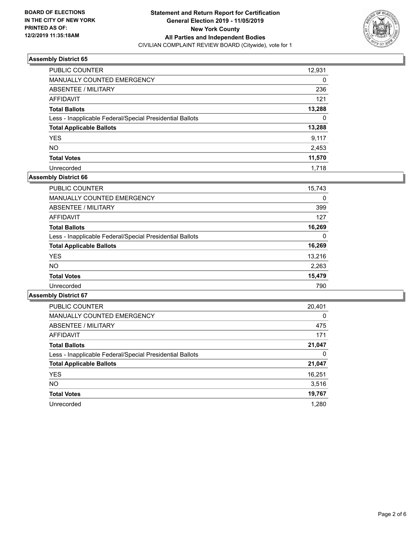

| PUBLIC COUNTER                                           | 12,931 |
|----------------------------------------------------------|--------|
| <b>MANUALLY COUNTED EMERGENCY</b>                        | 0      |
| ABSENTEE / MILITARY                                      | 236    |
| AFFIDAVIT                                                | 121    |
| <b>Total Ballots</b>                                     | 13,288 |
| Less - Inapplicable Federal/Special Presidential Ballots | 0      |
| <b>Total Applicable Ballots</b>                          | 13,288 |
| <b>YES</b>                                               | 9.117  |
| <b>NO</b>                                                | 2,453  |
| <b>Total Votes</b>                                       | 11,570 |
| Unrecorded                                               | 1,718  |

### **Assembly District 66**

| <b>PUBLIC COUNTER</b>                                    | 15,743 |
|----------------------------------------------------------|--------|
| <b>MANUALLY COUNTED EMERGENCY</b>                        | 0      |
| ABSENTEE / MILITARY                                      | 399    |
| AFFIDAVIT                                                | 127    |
| <b>Total Ballots</b>                                     | 16,269 |
| Less - Inapplicable Federal/Special Presidential Ballots | 0      |
| <b>Total Applicable Ballots</b>                          | 16,269 |
| <b>YES</b>                                               | 13.216 |
| NO.                                                      | 2,263  |
| <b>Total Votes</b>                                       | 15,479 |
| Unrecorded                                               | 790    |

| <b>PUBLIC COUNTER</b>                                    | 20,401   |
|----------------------------------------------------------|----------|
| <b>MANUALLY COUNTED EMERGENCY</b>                        | $\Omega$ |
| ABSENTEE / MILITARY                                      | 475      |
| AFFIDAVIT                                                | 171      |
| <b>Total Ballots</b>                                     | 21,047   |
| Less - Inapplicable Federal/Special Presidential Ballots | 0        |
| <b>Total Applicable Ballots</b>                          | 21,047   |
| <b>YES</b>                                               | 16,251   |
| <b>NO</b>                                                | 3,516    |
| <b>Total Votes</b>                                       | 19,767   |
| Unrecorded                                               | 1.280    |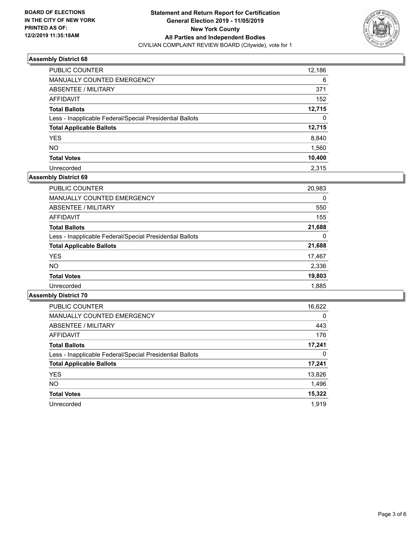

| PUBLIC COUNTER                                           | 12,186 |
|----------------------------------------------------------|--------|
| MANUALLY COUNTED EMERGENCY                               | 6      |
| ABSENTEE / MILITARY                                      | 371    |
| AFFIDAVIT                                                | 152    |
| <b>Total Ballots</b>                                     | 12,715 |
| Less - Inapplicable Federal/Special Presidential Ballots | 0      |
| <b>Total Applicable Ballots</b>                          | 12,715 |
| <b>YES</b>                                               | 8,840  |
| NO.                                                      | 1,560  |
| <b>Total Votes</b>                                       | 10,400 |
| Unrecorded                                               | 2.315  |

# **Assembly District 69**

| <b>PUBLIC COUNTER</b>                                    | 20,983 |
|----------------------------------------------------------|--------|
| <b>MANUALLY COUNTED EMERGENCY</b>                        | 0      |
| ABSENTEE / MILITARY                                      | 550    |
| <b>AFFIDAVIT</b>                                         | 155    |
| <b>Total Ballots</b>                                     | 21,688 |
| Less - Inapplicable Federal/Special Presidential Ballots | 0      |
| <b>Total Applicable Ballots</b>                          | 21,688 |
| <b>YES</b>                                               | 17,467 |
| <b>NO</b>                                                | 2,336  |
| <b>Total Votes</b>                                       | 19,803 |
| Unrecorded                                               | 1,885  |
|                                                          |        |

| <b>PUBLIC COUNTER</b>                                    | 16,622   |
|----------------------------------------------------------|----------|
| <b>MANUALLY COUNTED EMERGENCY</b>                        | $\Omega$ |
| ABSENTEE / MILITARY                                      | 443      |
| AFFIDAVIT                                                | 176      |
| <b>Total Ballots</b>                                     | 17,241   |
| Less - Inapplicable Federal/Special Presidential Ballots | 0        |
| <b>Total Applicable Ballots</b>                          | 17,241   |
| <b>YES</b>                                               | 13,826   |
| <b>NO</b>                                                | 1,496    |
| <b>Total Votes</b>                                       | 15,322   |
| Unrecorded                                               | 1.919    |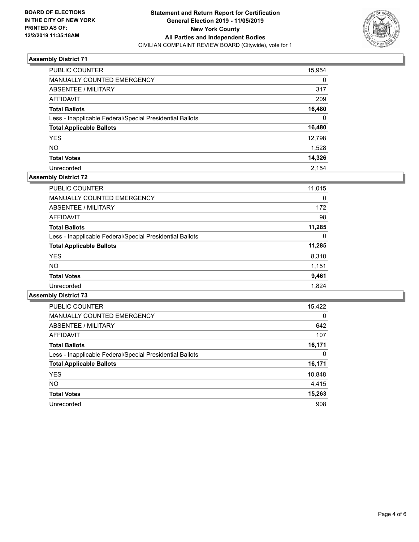

| PUBLIC COUNTER                                           | 15,954 |
|----------------------------------------------------------|--------|
| MANUALLY COUNTED EMERGENCY                               | 0      |
| ABSENTEE / MILITARY                                      | 317    |
| AFFIDAVIT                                                | 209    |
| <b>Total Ballots</b>                                     | 16,480 |
| Less - Inapplicable Federal/Special Presidential Ballots | 0      |
| <b>Total Applicable Ballots</b>                          | 16,480 |
| <b>YES</b>                                               | 12,798 |
| <b>NO</b>                                                | 1,528  |
| <b>Total Votes</b>                                       | 14,326 |
| Unrecorded                                               | 2.154  |

# **Assembly District 72**

| <b>PUBLIC COUNTER</b>                                    | 11,015 |
|----------------------------------------------------------|--------|
| <b>MANUALLY COUNTED EMERGENCY</b>                        | 0      |
| ABSENTEE / MILITARY                                      | 172    |
| AFFIDAVIT                                                | 98     |
| <b>Total Ballots</b>                                     | 11,285 |
| Less - Inapplicable Federal/Special Presidential Ballots | 0      |
| <b>Total Applicable Ballots</b>                          | 11,285 |
| <b>YES</b>                                               | 8,310  |
| <b>NO</b>                                                | 1,151  |
| <b>Total Votes</b>                                       | 9,461  |
| Unrecorded                                               | 1.824  |

| <b>PUBLIC COUNTER</b>                                    | 15,422   |
|----------------------------------------------------------|----------|
| <b>MANUALLY COUNTED EMERGENCY</b>                        | $\Omega$ |
| ABSENTEE / MILITARY                                      | 642      |
| AFFIDAVIT                                                | 107      |
| <b>Total Ballots</b>                                     | 16,171   |
| Less - Inapplicable Federal/Special Presidential Ballots | 0        |
| <b>Total Applicable Ballots</b>                          | 16,171   |
| <b>YES</b>                                               | 10,848   |
| NO.                                                      | 4,415    |
| <b>Total Votes</b>                                       | 15,263   |
| Unrecorded                                               | 908      |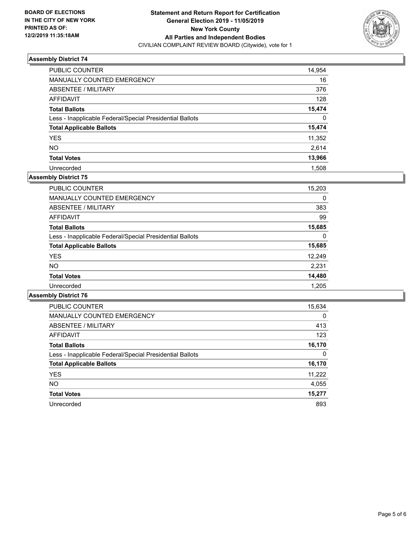

| <b>PUBLIC COUNTER</b>                                    | 14,954 |
|----------------------------------------------------------|--------|
| <b>MANUALLY COUNTED EMERGENCY</b>                        | 16     |
| ABSENTEE / MILITARY                                      | 376    |
| AFFIDAVIT                                                | 128    |
| <b>Total Ballots</b>                                     | 15,474 |
| Less - Inapplicable Federal/Special Presidential Ballots | 0      |
| <b>Total Applicable Ballots</b>                          | 15,474 |
| <b>YES</b>                                               | 11,352 |
| <b>NO</b>                                                | 2.614  |
| <b>Total Votes</b>                                       | 13,966 |
| Unrecorded                                               | 1.508  |

# **Assembly District 75**

| <b>PUBLIC COUNTER</b>                                    | 15,203 |
|----------------------------------------------------------|--------|
|                                                          |        |
| <b>MANUALLY COUNTED EMERGENCY</b>                        | 0      |
| ABSENTEE / MILITARY                                      | 383    |
| AFFIDAVIT                                                | 99     |
| <b>Total Ballots</b>                                     | 15,685 |
| Less - Inapplicable Federal/Special Presidential Ballots | 0      |
| <b>Total Applicable Ballots</b>                          | 15,685 |
| <b>YES</b>                                               | 12,249 |
| <b>NO</b>                                                | 2,231  |
| <b>Total Votes</b>                                       | 14,480 |
| Unrecorded                                               | 1.205  |

| <b>PUBLIC COUNTER</b>                                    | 15,634   |
|----------------------------------------------------------|----------|
| <b>MANUALLY COUNTED EMERGENCY</b>                        | $\Omega$ |
| ABSENTEE / MILITARY                                      | 413      |
| AFFIDAVIT                                                | 123      |
| <b>Total Ballots</b>                                     | 16,170   |
| Less - Inapplicable Federal/Special Presidential Ballots | 0        |
| <b>Total Applicable Ballots</b>                          | 16,170   |
| <b>YES</b>                                               | 11,222   |
| <b>NO</b>                                                | 4,055    |
| <b>Total Votes</b>                                       | 15,277   |
| Unrecorded                                               | 893      |